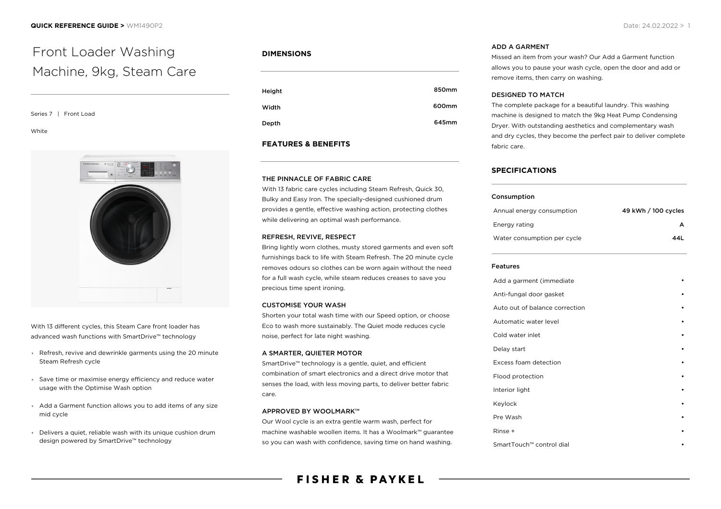# Front Loader Washing Machine, 9kg, Steam Care

Series 7 | Front Load

White



With 13 different cycles, this Steam Care front loader has advanced wash functions with SmartDrive™ technology

- Refresh, revive and dewrinkle garments using the 20 minute Steam Refresh cycle
- Save time or maximise energy efficiency and reduce water usage with the Optimise Wash option
- Add a Garment function allows you to add items of any size mid cycle
- Delivers a quiet, reliable wash with its unique cushion drum design powered by SmartDrive™ technology

# **DIMENSIONS**

| Height | 850mm |
|--------|-------|
| Width  | 600mm |
| Depth  | 645mm |

## **FEATURES & BENEFITS**

## THE PINNACLE OF FABRIC CARE

With 13 fabric care cycles including Steam Refresh, Quick 30, Bulky and Easy Iron. The specially-designed cushioned drum provides a gentle, effective washing action, protecting clothes while delivering an optimal wash performance.

#### REFRESH, REVIVE, RESPECT

Bring lightly worn clothes, musty stored garments and even soft furnishings back to life with Steam Refresh. The 20 minute cycle removes odours so clothes can be worn again without the need for a full wash cycle, while steam reduces creases to save you precious time spent ironing.

## CUSTOMISE YOUR WASH

Shorten your total wash time with our Speed option, or choose Eco to wash more sustainably. The Quiet mode reduces cycle noise, perfect for late night washing.

## A SMARTER, QUIETER MOTOR

SmartDrive™ technology is a gentle, quiet, and efficient combination of smart electronics and a direct drive motor that senses the load, with less moving parts, to deliver better fabric care.

## APPROVED BY WOOLMARK™

Our Wool cycle is an extra gentle warm wash, perfect for machine washable woollen items. It has a Woolmark™ guarantee so you can wash with confidence, saving time on hand washing.

# ADD A GARMENT

Missed an item from your wash? Our Add a Garment function allows you to pause your wash cycle, open the door and add or remove items, then carry on washing.

## DESIGNED TO MATCH

The complete package for a beautiful laundry. This washing machine is designed to match the 9kg Heat Pump Condensing Dryer. With outstanding aesthetics and complementary wash and dry cycles, they become the perfect pair to deliver complete fabric care.

# **SPECIFICATIONS**

#### Consumption

| Annual energy consumption   | 49 kWh / 100 cycles |
|-----------------------------|---------------------|
| Enerav rating               | А                   |
| Water consumption per cycle | 44L                 |

## Features

| Add a garment (immediate       |   |
|--------------------------------|---|
| Anti-fungal door gasket        |   |
| Auto out of balance correction |   |
| Automatic water level          |   |
| Cold water inlet               | ٠ |
| Delay start                    |   |
| Excess foam detection          |   |
| Flood protection               |   |
| Interior light                 |   |
| Keylock                        |   |
| Pre Wash                       |   |
| Rinse +                        |   |
| SmartTouch™ control dial       |   |
|                                |   |